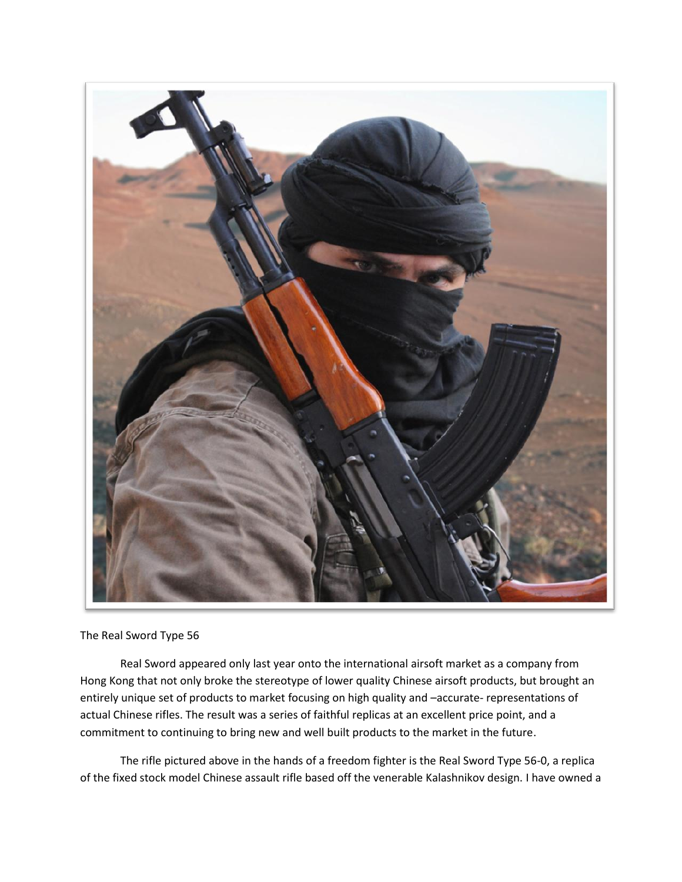

The Real Sword Type 56

Real Sword appeared only last year onto the international airsoft market as a company from Hong Kong that not only broke the stereotype of lower quality Chinese airsoft products, but brought an entirely unique set of products to market focusing on high quality and –accurate- representations of actual Chinese rifles. The result was a series of faithful replicas at an excellent price point, and a commitment to continuing to bring new and well built products to the market in the future.

The rifle pictured above in the hands of a freedom fighter is the Real Sword Type 56-0, a replica of the fixed stock model Chinese assault rifle based off the venerable Kalashnikov design. I have owned a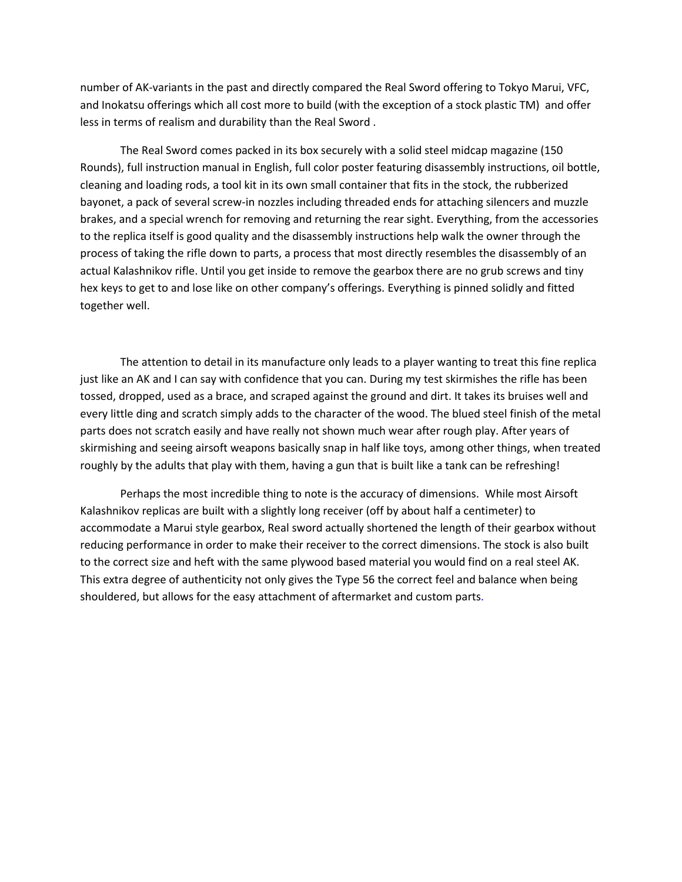number of AK-variants in the past and directly compared the Real Sword offering to Tokyo Marui, VFC, and Inokatsu offerings which all cost more to build (with the exception of a stock plastic TM) and offer less in terms of realism and durability than the Real Sword .

The Real Sword comes packed in its box securely with a solid steel midcap magazine (150 Rounds), full instruction manual in English, full color poster featuring disassembly instructions, oil bottle, cleaning and loading rods, a tool kit in its own small container that fits in the stock, the rubberized bayonet, a pack of several screw-in nozzles including threaded ends for attaching silencers and muzzle brakes, and a special wrench for removing and returning the rear sight. Everything, from the accessories to the replica itself is good quality and the disassembly instructions help walk the owner through the process of taking the rifle down to parts, a process that most directly resembles the disassembly of an actual Kalashnikov rifle. Until you get inside to remove the gearbox there are no grub screws and tiny hex keys to get to and lose like on other company's offerings. Everything is pinned solidly and fitted together well.

The attention to detail in its manufacture only leads to a player wanting to treat this fine replica just like an AK and I can say with confidence that you can. During my test skirmishes the rifle has been tossed, dropped, used as a brace, and scraped against the ground and dirt. It takes its bruises well and every little ding and scratch simply adds to the character of the wood. The blued steel finish of the metal parts does not scratch easily and have really not shown much wear after rough play. After years of skirmishing and seeing airsoft weapons basically snap in half like toys, among other things, when treated roughly by the adults that play with them, having a gun that is built like a tank can be refreshing!

Perhaps the most incredible thing to note is the accuracy of dimensions. While most Airsoft Kalashnikov replicas are built with a slightly long receiver (off by about half a centimeter) to accommodate a Marui style gearbox, Real sword actually shortened the length of their gearbox without reducing performance in order to make their receiver to the correct dimensions. The stock is also built to the correct size and heft with the same plywood based material you would find on a real steel AK. This extra degree of authenticity not only gives the Type 56 the correct feel and balance when being shouldered, but allows for the easy attachment of aftermarket and custom parts.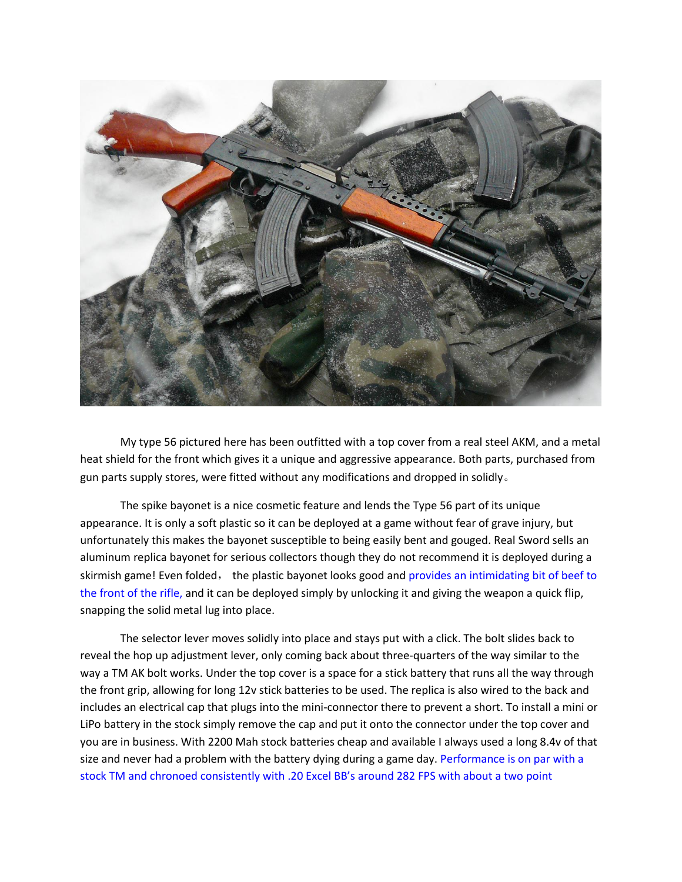

My type 56 pictured here has been outfitted with a top cover from a real steel AKM, and a metal heat shield for the front which gives it a unique and aggressive appearance. Both parts, purchased from gun parts supply stores, were fitted without any modifications and dropped in solidly。

The spike bayonet is a nice cosmetic feature and lends the Type 56 part of its unique appearance. It is only a soft plastic so it can be deployed at a game without fear of grave injury, but unfortunately this makes the bayonet susceptible to being easily bent and gouged. Real Sword sells an aluminum replica bayonet for serious collectors though they do not recommend it is deployed during a skirmish game! Even folded, the plastic bayonet looks good and provides an intimidating bit of beef to the front of the rifle, and it can be deployed simply by unlocking it and giving the weapon a quick flip, snapping the solid metal lug into place.

The selector lever moves solidly into place and stays put with a click. The bolt slides back to reveal the hop up adjustment lever, only coming back about three-quarters of the way similar to the way a TM AK bolt works. Under the top cover is a space for a stick battery that runs all the way through the front grip, allowing for long 12v stick batteries to be used. The replica is also wired to the back and includes an electrical cap that plugs into the mini-connector there to prevent a short. To install a mini or LiPo battery in the stock simply remove the cap and put it onto the connector under the top cover and you are in business. With 2200 Mah stock batteries cheap and available I always used a long 8.4v of that size and never had a problem with the battery dying during a game day. Performance is on par with a stock TM and chronoed consistently with .20 Excel BB's around 282 FPS with about a two point